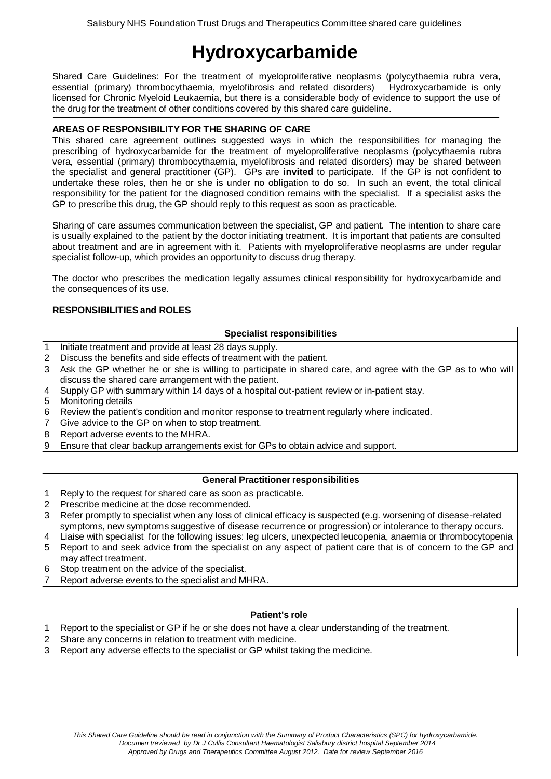# **Hydroxycarbamide**

Shared Care Guidelines: For the treatment of myeloproliferative neoplasms (polycythaemia rubra vera, essential (primary) thrombocythaemia, myelofibrosis and related disorders) Hydroxycarbamide is only licensed for Chronic Myeloid Leukaemia, but there is a considerable body of evidence to support the use of the drug for the treatment of other conditions covered by this shared care guideline.

## **AREAS OF RESPONSIBILITY FOR THE SHARING OF CARE**

This shared care agreement outlines suggested ways in which the responsibilities for managing the prescribing of hydroxycarbamide for the treatment of myeloproliferative neoplasms (polycythaemia rubra vera, essential (primary) thrombocythaemia, myelofibrosis and related disorders) may be shared between the specialist and general practitioner (GP). GPs are **invited** to participate. If the GP is not confident to undertake these roles, then he or she is under no obligation to do so. In such an event, the total clinical responsibility for the patient for the diagnosed condition remains with the specialist. If a specialist asks the GP to prescribe this drug, the GP should reply to this request as soon as practicable.

Sharing of care assumes communication between the specialist, GP and patient. The intention to share care is usually explained to the patient by the doctor initiating treatment. It is important that patients are consulted about treatment and are in agreement with it. Patients with myeloproliferative neoplasms are under regular specialist follow-up, which provides an opportunity to discuss drug therapy.

The doctor who prescribes the medication legally assumes clinical responsibility for hydroxycarbamide and the consequences of its use.

## **RESPONSIBILITIES and ROLES**

## **Specialist responsibilities**

- 1 Initiate treatment and provide at least 28 days supply.
- 2 Discuss the benefits and side effects of treatment with the patient.
- 3 Ask the GP whether he or she is willing to participate in shared care, and agree with the GP as to who will discuss the shared care arrangement with the patient.
- 4 Supply GP with summary within 14 days of a hospital out-patient review or in-patient stay.
- 5 Monitoring details
- 6 Review the patient's condition and monitor response to treatment regularly where indicated.
- 7 Give advice to the GP on when to stop treatment.
- 8 Report adverse events to the MHRA.
- 9 Ensure that clear backup arrangements exist for GPs to obtain advice and support.

## **General Practitioner responsibilities**

- 1 Reply to the request for shared care as soon as practicable.
- 2 Prescribe medicine at the dose recommended.
- 3 Refer promptly to specialist when any loss of clinical efficacy is suspected (e.g. worsening of disease-related symptoms, new symptoms suggestive of disease recurrence or progression) or intolerance to therapy occurs.
- 4 Liaise with specialist for the following issues: leg ulcers, unexpected leucopenia, anaemia or thrombocytopenia 5 Report to and seek advice from the specialist on any aspect of patient care that is of concern to the GP and may affect treatment.
- 6 Stop treatment on the advice of the specialist.
- Report adverse events to the specialist and MHRA.

## **Patient's role**

- 1 Report to the specialist or GP if he or she does not have a clear understanding of the treatment.
- 2 Share any concerns in relation to treatment with medicine.
- 3 Report any adverse effects to the specialist or GP whilst taking the medicine.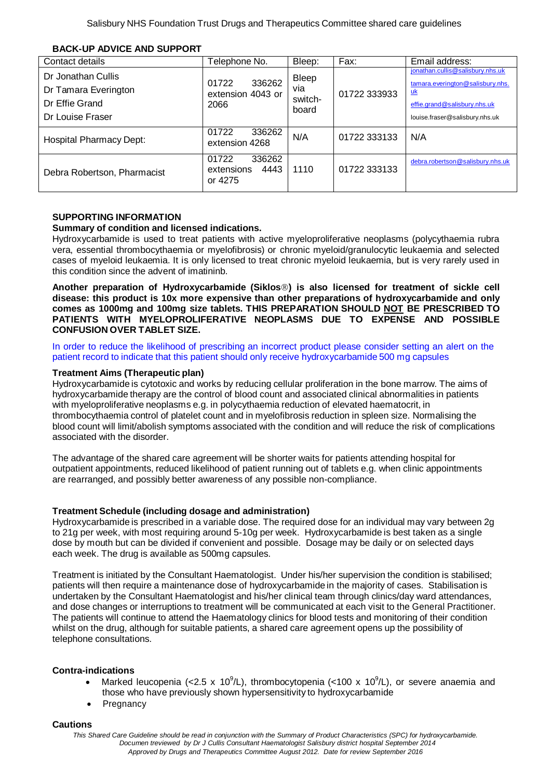| Contact details                                                                  | Telephone No.                                    | Bleep:                                  | Fax:         | Email address:                                                                                                                                      |
|----------------------------------------------------------------------------------|--------------------------------------------------|-----------------------------------------|--------------|-----------------------------------------------------------------------------------------------------------------------------------------------------|
| Dr Jonathan Cullis<br>Dr Tamara Everington<br>Dr Effie Grand<br>Dr Louise Fraser | 336262<br>01722<br>extension 4043 or<br>2066     | <b>Bleep</b><br>via<br>switch-<br>board | 01722 333933 | jonathan.cullis@salisbury.nhs.uk<br>tamara.everington@salisbury.nhs.<br><u>uk</u><br>effie.grand@salisbury.nhs.uk<br>louise.fraser@salisbury.nhs.uk |
| <b>Hospital Pharmacy Dept:</b>                                                   | 01722<br>336262<br>extension 4268                | N/A                                     | 01722 333133 | N/A                                                                                                                                                 |
| Debra Robertson, Pharmacist                                                      | 01722<br>336262<br>4443<br>extensions<br>or 4275 | 1110                                    | 01722 333133 | debra.robertson@salisbury.nhs.uk                                                                                                                    |

#### **BACK-UP ADVICE AND SUPPORT**

## **SUPPORTING INFORMATION**

#### **Summary of condition and licensed indications.**

Hydroxycarbamide is used to treat patients with active myeloproliferative neoplasms (polycythaemia rubra vera, essential thrombocythaemia or myelofibrosis) or chronic myeloid/granulocytic leukaemia and selected cases of myeloid leukaemia. It is only licensed to treat chronic myeloid leukaemia, but is very rarely used in this condition since the advent of imatininb.

**Another preparation of Hydroxycarbamide (Siklos) is also licensed for treatment of sickle cell disease: this product is 10x more expensive than other preparations of hydroxycarbamide and only comes as 1000mg and 100mg size tablets. THIS PREPARATION SHOULD NOT BE PRESCRIBED TO PATIENTS WITH MYELOPROLIFERATIVE NEOPLASMS DUE TO EXPENSE AND POSSIBLE CONFUSION OVER TABLET SIZE.**

In order to reduce the likelihood of prescribing an incorrect product please consider setting an alert on the patient record to indicate that this patient should only receive hydroxycarbamide 500 mg capsules

#### **Treatment Aims (Therapeutic plan)**

Hydroxycarbamide is cytotoxic and works by reducing cellular proliferation in the bone marrow. The aims of hydroxycarbamide therapy are the control of blood count and associated clinical abnormalities in patients with myeloproliferative neoplasms e.g. in polycythaemia reduction of elevated haematocrit, in thrombocythaemia control of platelet count and in myelofibrosis reduction in spleen size. Normalising the blood count will limit/abolish symptoms associated with the condition and will reduce the risk of complications associated with the disorder.

The advantage of the shared care agreement will be shorter waits for patients attending hospital for outpatient appointments, reduced likelihood of patient running out of tablets e.g. when clinic appointments are rearranged, and possibly better awareness of any possible non-compliance.

#### **Treatment Schedule (including dosage and administration)**

Hydroxycarbamide is prescribed in a variable dose. The required dose for an individual may vary between 2g to 21g per week, with most requiring around 5-10g per week. Hydroxycarbamide is best taken as a single dose by mouth but can be divided if convenient and possible. Dosage may be daily or on selected days each week. The drug is available as 500mg capsules.

Treatment is initiated by the Consultant Haematologist. Under his/her supervision the condition is stabilised; patients will then require a maintenance dose of hydroxycarbamide in the majority of cases. Stabilisation is undertaken by the Consultant Haematologist and his/her clinical team through clinics/day ward attendances, and dose changes or interruptions to treatment will be communicated at each visit to the General Practitioner. The patients will continue to attend the Haematology clinics for blood tests and monitoring of their condition whilst on the drug, although for suitable patients, a shared care agreement opens up the possibility of telephone consultations.

## **Contra-indications**

- Marked leucopenia (<2.5 x 10<sup>9</sup>/L), thrombocytopenia (<100 x 10<sup>9</sup>/L), or severe anaemia and those who have previously shown hypersensitivity to hydroxycarbamide
- Pregnancy

#### **Cautions**